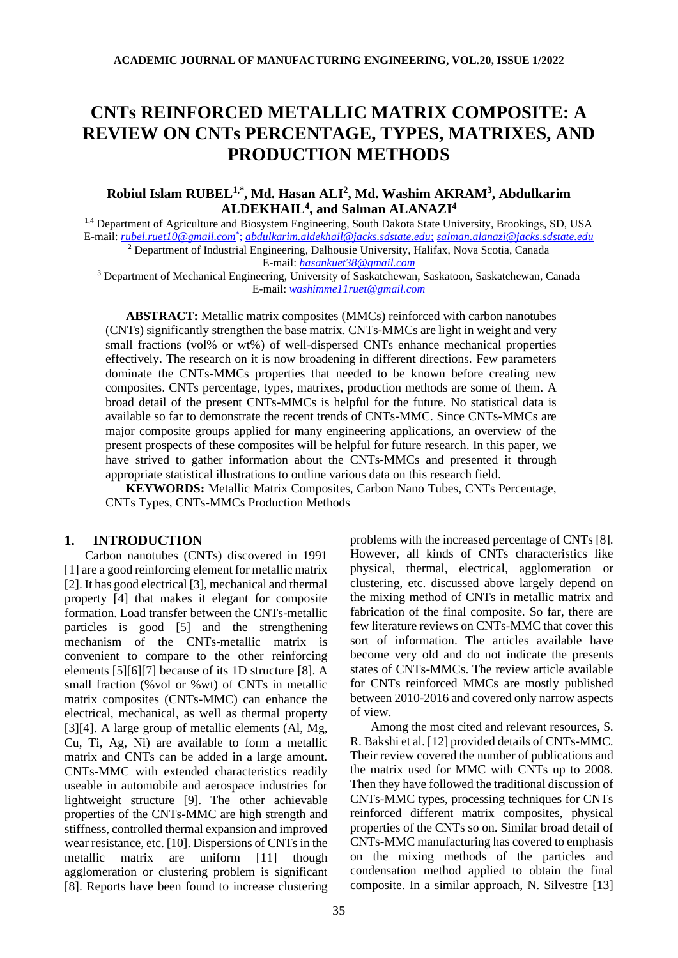# **CNTs REINFORCED METALLIC MATRIX COMPOSITE: A REVIEW ON CNTs PERCENTAGE, TYPES, MATRIXES, AND PRODUCTION METHODS**

# **Robiul Islam RUBEL1,\*, Md. Hasan ALI<sup>2</sup> , Md. Washim AKRAM<sup>3</sup> , Abdulkarim ALDEKHAIL<sup>4</sup> , and Salman ALANAZI 4**

<sup>1,4</sup> Department of Agriculture and Biosystem Engineering, South Dakota State University, Brookings, SD, USA E-mail: *[rubel.ruet10@gmail.com](mailto:rubel.ruet10@gmail.com*)*\* ; *[abdulkarim.aldekhail@jacks.sdstate.edu](mailto:abdulkarim.aldekhail@jacks.sdstate.edu)*; *[salman.alanazi@jacks.sdstate.edu](mailto:salman.alanazi@jacks.sdstate.edu)* <sup>2</sup> Department of Industrial Engineering, Dalhousie University, Halifax, Nova Scotia, Canada

E-mail: *[hasankuet38@gmail.com](mailto:hasankuet38@gmail.com)*

<sup>3</sup> Department of Mechanical Engineering, University of Saskatchewan, Saskatoon, Saskatchewan, Canada E-mail: *[washimme11ruet@gmail.com](mailto:washimme11ruet@gmail.com)*

**ABSTRACT:** Metallic matrix composites (MMCs) reinforced with carbon nanotubes (CNTs) significantly strengthen the base matrix. CNTs-MMCs are light in weight and very small fractions (vol% or wt%) of well-dispersed CNTs enhance mechanical properties effectively. The research on it is now broadening in different directions. Few parameters dominate the CNTs-MMCs properties that needed to be known before creating new composites. CNTs percentage, types, matrixes, production methods are some of them. A broad detail of the present CNTs-MMCs is helpful for the future. No statistical data is available so far to demonstrate the recent trends of CNTs-MMC. Since CNTs-MMCs are major composite groups applied for many engineering applications, an overview of the present prospects of these composites will be helpful for future research. In this paper, we have strived to gather information about the CNTs-MMCs and presented it through appropriate statistical illustrations to outline various data on this research field.

**KEYWORDS:** Metallic Matrix Composites, Carbon Nano Tubes, CNTs Percentage, CNTs Types, CNTs-MMCs Production Methods

# **1. INTRODUCTION**

Carbon nanotubes (CNTs) discovered in 1991 [1] are a good reinforcing element for metallic matrix [2]. It has good electrical [3], mechanical and thermal property [4] that makes it elegant for composite formation. Load transfer between the CNTs-metallic particles is good [5] and the strengthening mechanism of the CNTs-metallic matrix is convenient to compare to the other reinforcing elements [5][6][7] because of its 1D structure [8]. A small fraction (%vol or %wt) of CNTs in metallic matrix composites (CNTs-MMC) can enhance the electrical, mechanical, as well as thermal property [3][4]. A large group of metallic elements (Al, Mg, Cu, Ti, Ag, Ni) are available to form a metallic matrix and CNTs can be added in a large amount. CNTs-MMC with extended characteristics readily useable in automobile and aerospace industries for lightweight structure [9]. The other achievable properties of the CNTs-MMC are high strength and stiffness, controlled thermal expansion and improved wear resistance, etc. [10]. Dispersions of CNTs in the metallic matrix are uniform [11] though agglomeration or clustering problem is significant [8]. Reports have been found to increase clustering

problems with the increased percentage of CNTs [8]. However, all kinds of CNTs characteristics like physical, thermal, electrical, agglomeration or clustering, etc. discussed above largely depend on the mixing method of CNTs in metallic matrix and fabrication of the final composite. So far, there are few literature reviews on CNTs-MMC that cover this sort of information. The articles available have become very old and do not indicate the presents states of CNTs-MMCs. The review article available for CNTs reinforced MMCs are mostly published between 2010-2016 and covered only narrow aspects of view.

Among the most cited and relevant resources, S. R. Bakshi et al. [12] provided details of CNTs-MMC. Their review covered the number of publications and the matrix used for MMC with CNTs up to 2008. Then they have followed the traditional discussion of CNTs-MMC types, processing techniques for CNTs reinforced different matrix composites, physical properties of the CNTs so on. Similar broad detail of CNTs-MMC manufacturing has covered to emphasis on the mixing methods of the particles and condensation method applied to obtain the final composite. In a similar approach, N. Silvestre [13]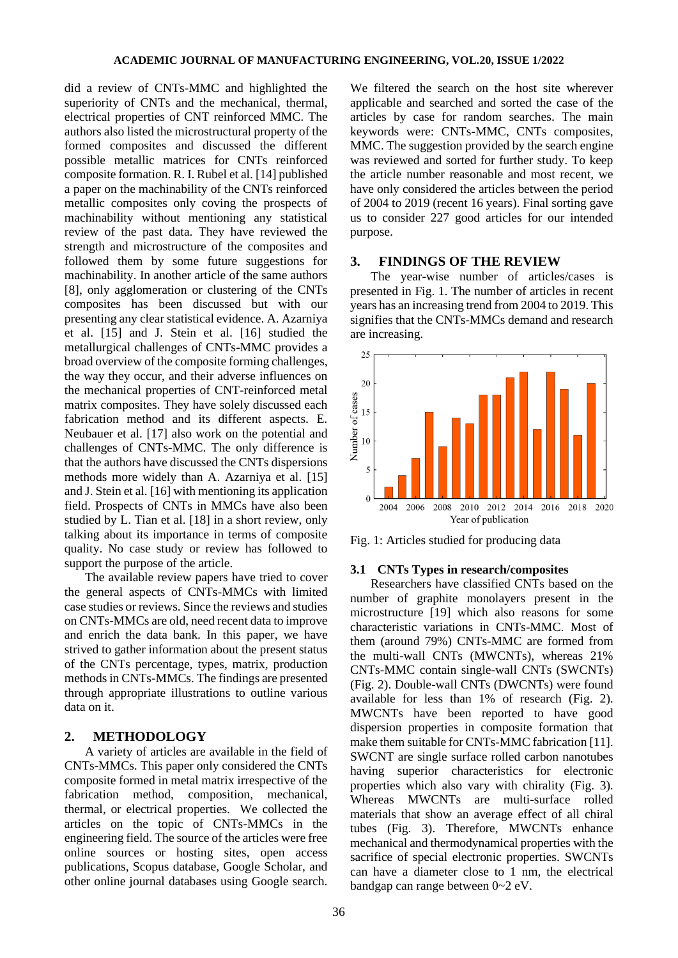did a review of CNTs-MMC and highlighted the superiority of CNTs and the mechanical, thermal, electrical properties of CNT reinforced MMC. The authors also listed the microstructural property of the formed composites and discussed the different possible metallic matrices for CNTs reinforced composite formation. R. I. Rubel et al. [14] published a paper on the machinability of the CNTs reinforced metallic composites only coving the prospects of machinability without mentioning any statistical review of the past data. They have reviewed the strength and microstructure of the composites and followed them by some future suggestions for machinability. In another article of the same authors [8], only agglomeration or clustering of the CNTs composites has been discussed but with our presenting any clear statistical evidence. A. Azarniya et al. [15] and J. Stein et al. [16] studied the metallurgical challenges of CNTs-MMC provides a broad overview of the composite forming challenges, the way they occur, and their adverse influences on the mechanical properties of CNT-reinforced metal matrix composites. They have solely discussed each fabrication method and its different aspects. E. Neubauer et al. [17] also work on the potential and challenges of CNTs-MMC. The only difference is that the authors have discussed the CNTs dispersions methods more widely than A. Azarniya et al. [15] and J. Stein et al. [16] with mentioning its application field. Prospects of CNTs in MMCs have also been studied by L. Tian et al. [18] in a short review, only talking about its importance in terms of composite quality. No case study or review has followed to support the purpose of the article.

The available review papers have tried to cover the general aspects of CNTs-MMCs with limited case studies or reviews. Since the reviews and studies on CNTs-MMCs are old, need recent data to improve and enrich the data bank. In this paper, we have strived to gather information about the present status of the CNTs percentage, types, matrix, production methodsin CNTs-MMCs. The findings are presented through appropriate illustrations to outline various data on it.

# **2. METHODOLOGY**

A variety of articles are available in the field of CNTs-MMCs. This paper only considered the CNTs composite formed in metal matrix irrespective of the fabrication method, composition, mechanical, thermal, or electrical properties. We collected the articles on the topic of CNTs-MMCs in the engineering field. The source of the articles were free online sources or hosting sites, open access publications, Scopus database, Google Scholar, and other online journal databases using Google search.

We filtered the search on the host site wherever applicable and searched and sorted the case of the articles by case for random searches. The main keywords were: CNTs-MMC, CNTs composites, MMC. The suggestion provided by the search engine was reviewed and sorted for further study. To keep the article number reasonable and most recent, we have only considered the articles between the period of 2004 to 2019 (recent 16 years). Final sorting gave us to consider 227 good articles for our intended purpose.

# **3. FINDINGS OF THE REVIEW**

The year-wise number of articles/cases is presented in Fig. 1. The number of articles in recent years has an increasing trend from 2004 to 2019. This signifies that the CNTs-MMCs demand and research are increasing.



Fig. 1: Articles studied for producing data

## **3.1 CNTs Types in research/composites**

Researchers have classified CNTs based on the number of graphite monolayers present in the microstructure [19] which also reasons for some characteristic variations in CNTs-MMC. Most of them (around 79%) CNTs-MMC are formed from the multi-wall CNTs (MWCNTs), whereas 21% CNTs-MMC contain single-wall CNTs (SWCNTs) (Fig. 2). Double-wall CNTs (DWCNTs) were found available for less than 1% of research (Fig. 2). MWCNTs have been reported to have good dispersion properties in composite formation that make them suitable for CNTs-MMC fabrication [11]. SWCNT are single surface rolled carbon nanotubes having superior characteristics for electronic properties which also vary with chirality (Fig. 3). Whereas MWCNTs are multi-surface rolled materials that show an average effect of all chiral tubes (Fig. 3). Therefore, MWCNTs enhance mechanical and thermodynamical properties with the sacrifice of special electronic properties. SWCNTs can have a diameter close to 1 nm, the electrical bandgap can range between 0~2 eV.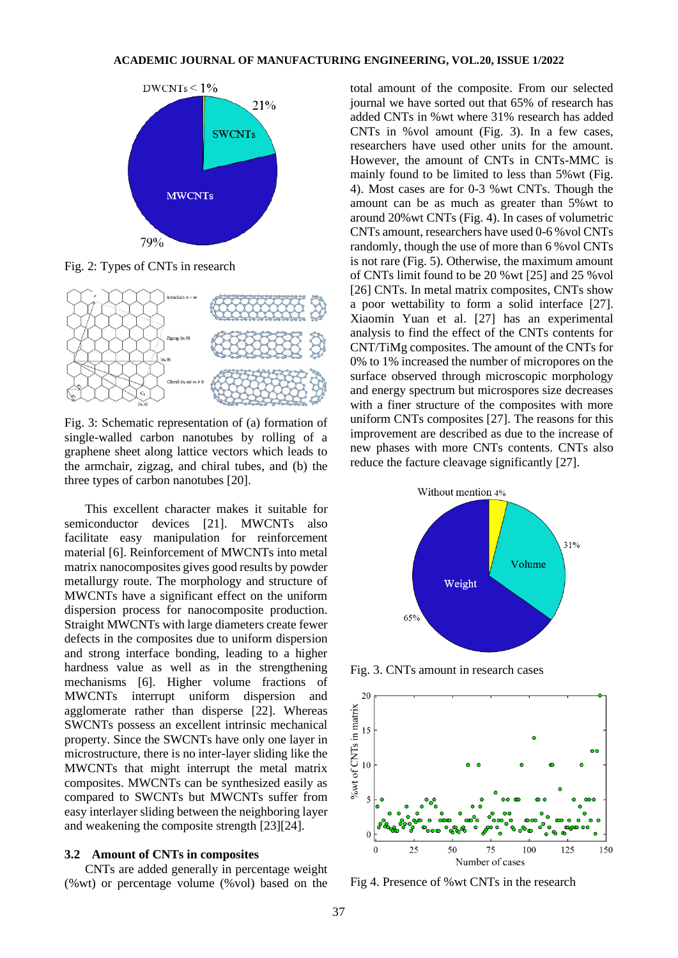

Fig. 2: Types of CNTs in research



Fig. 3: Schematic representation of (a) formation of single-walled carbon nanotubes by rolling of a graphene sheet along lattice vectors which leads to the armchair, zigzag, and chiral tubes, and (b) the three types of carbon nanotubes [20].

This excellent character makes it suitable for semiconductor devices [21]. MWCNTs also facilitate easy manipulation for reinforcement material [6]. Reinforcement of MWCNTs into metal matrix nanocomposites gives good results by powder metallurgy route. The morphology and structure of MWCNTs have a significant effect on the uniform dispersion process for nanocomposite production. Straight MWCNTs with large diameters create fewer defects in the composites due to uniform dispersion and strong interface bonding, leading to a higher hardness value as well as in the strengthening mechanisms [6]. Higher volume fractions of MWCNTs interrupt uniform dispersion and agglomerate rather than disperse [22]. Whereas SWCNTs possess an excellent intrinsic mechanical property. Since the SWCNTs have only one layer in microstructure, there is no inter-layer sliding like the MWCNTs that might interrupt the metal matrix composites. MWCNTs can be synthesized easily as compared to SWCNTs but MWCNTs suffer from easy interlayer sliding between the neighboring layer and weakening the composite strength [23][24].

## **3.2 Amount of CNTs in composites**

CNTs are added generally in percentage weight (%wt) or percentage volume (%vol) based on the

total amount of the composite. From our selected journal we have sorted out that 65% of research has added CNTs in %wt where 31% research has added CNTs in %vol amount (Fig. 3). In a few cases, researchers have used other units for the amount. However, the amount of CNTs in CNTs-MMC is mainly found to be limited to less than 5%wt (Fig. 4). Most cases are for 0-3 %wt CNTs. Though the amount can be as much as greater than 5%wt to around 20%wt CNTs (Fig. 4). In cases of volumetric CNTs amount, researchers have used 0-6 %vol CNTs randomly, though the use of more than 6 %vol CNTs is not rare (Fig. 5). Otherwise, the maximum amount of CNTs limit found to be 20 %wt [25] and 25 %vol [26] CNTs. In metal matrix composites, CNTs show a poor wettability to form a solid interface [27]. Xiaomin Yuan et al. [27] has an experimental analysis to find the effect of the CNTs contents for CNT/TiMg composites. The amount of the CNTs for 0% to 1% increased the number of micropores on the surface observed through microscopic morphology and energy spectrum but microspores size decreases with a finer structure of the composites with more uniform CNTs composites [27]. The reasons for this improvement are described as due to the increase of new phases with more CNTs contents. CNTs also reduce the facture cleavage significantly [27].



Fig. 3. CNTs amount in research cases



Fig 4. Presence of %wt CNTs in the research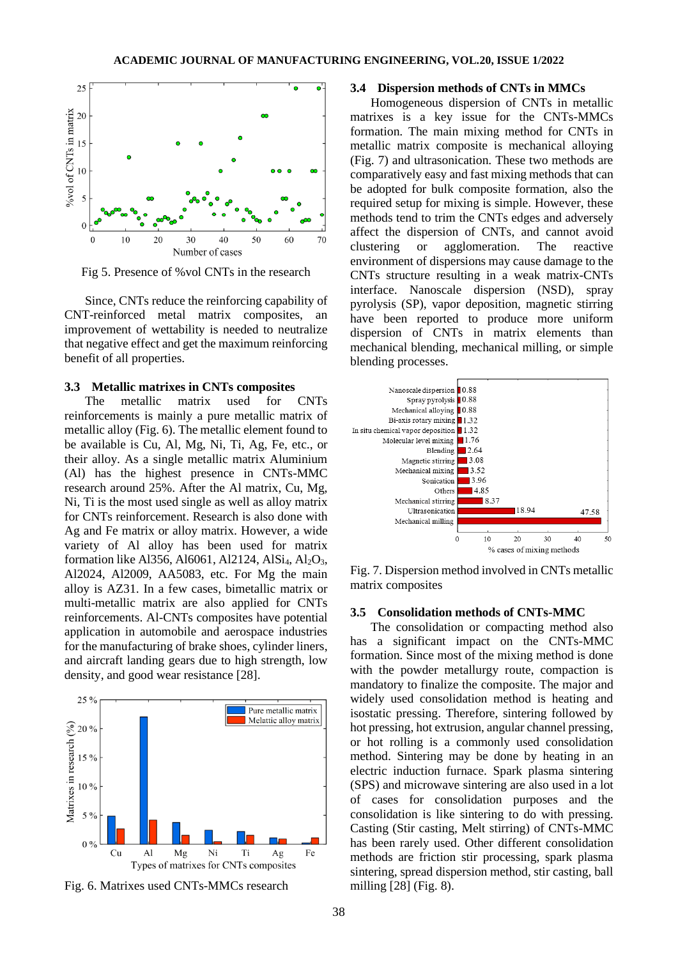

Fig 5. Presence of %vol CNTs in the research

Since, CNTs reduce the reinforcing capability of CNT-reinforced metal matrix composites, an improvement of wettability is needed to neutralize that negative effect and get the maximum reinforcing benefit of all properties.

#### **3.3 Metallic matrixes in CNTs composites**

The metallic matrix used for CNTs reinforcements is mainly a pure metallic matrix of metallic alloy (Fig. 6). The metallic element found to be available is Cu, Al, Mg, Ni, Ti, Ag, Fe, etc., or their alloy. As a single metallic matrix Aluminium (Al) has the highest presence in CNTs-MMC research around 25%. After the Al matrix, Cu, Mg, Ni, Ti is the most used single as well as alloy matrix for CNTs reinforcement. Research is also done with Ag and Fe matrix or alloy matrix. However, a wide variety of Al alloy has been used for matrix formation like Al356, Al6061, Al2124, Al $Si<sub>4</sub>$ , Al<sub>2</sub>O<sub>3</sub>, Al2024, Al2009, AA5083, etc. For Mg the main alloy is AZ31. In a few cases, bimetallic matrix or multi-metallic matrix are also applied for CNTs reinforcements. Al-CNTs composites have potential application in automobile and aerospace industries for the manufacturing of brake shoes, cylinder liners, and aircraft landing gears due to high strength, low density, and good wear resistance [28].



Fig. 6. Matrixes used CNTs-MMCs research

## **3.4 Dispersion methods of CNTs in MMCs**

Homogeneous dispersion of CNTs in metallic matrixes is a key issue for the CNTs-MMCs formation. The main mixing method for CNTs in metallic matrix composite is mechanical alloying (Fig. 7) and ultrasonication. These two methods are comparatively easy and fast mixing methods that can be adopted for bulk composite formation, also the required setup for mixing is simple. However, these methods tend to trim the CNTs edges and adversely affect the dispersion of CNTs, and cannot avoid clustering or agglomeration. The reactive environment of dispersions may cause damage to the CNTs structure resulting in a weak matrix-CNTs interface. Nanoscale dispersion (NSD), spray pyrolysis (SP), vapor deposition, magnetic stirring have been reported to produce more uniform dispersion of CNTs in matrix elements than mechanical blending, mechanical milling, or simple blending processes.



Fig. 7. Dispersion method involved in CNTs metallic matrix composites

## **3.5 Consolidation methods of CNTs-MMC**

The consolidation or compacting method also has a significant impact on the CNTs-MMC formation. Since most of the mixing method is done with the powder metallurgy route, compaction is mandatory to finalize the composite. The major and widely used consolidation method is heating and isostatic pressing. Therefore, sintering followed by hot pressing, hot extrusion, angular channel pressing, or hot rolling is a commonly used consolidation method. Sintering may be done by heating in an electric induction furnace. Spark plasma sintering (SPS) and microwave sintering are also used in a lot of cases for consolidation purposes and the consolidation is like sintering to do with pressing. Casting (Stir casting, Melt stirring) of CNTs-MMC has been rarely used. Other different consolidation methods are friction stir processing, spark plasma sintering, spread dispersion method, stir casting, ball milling [28] (Fig. 8).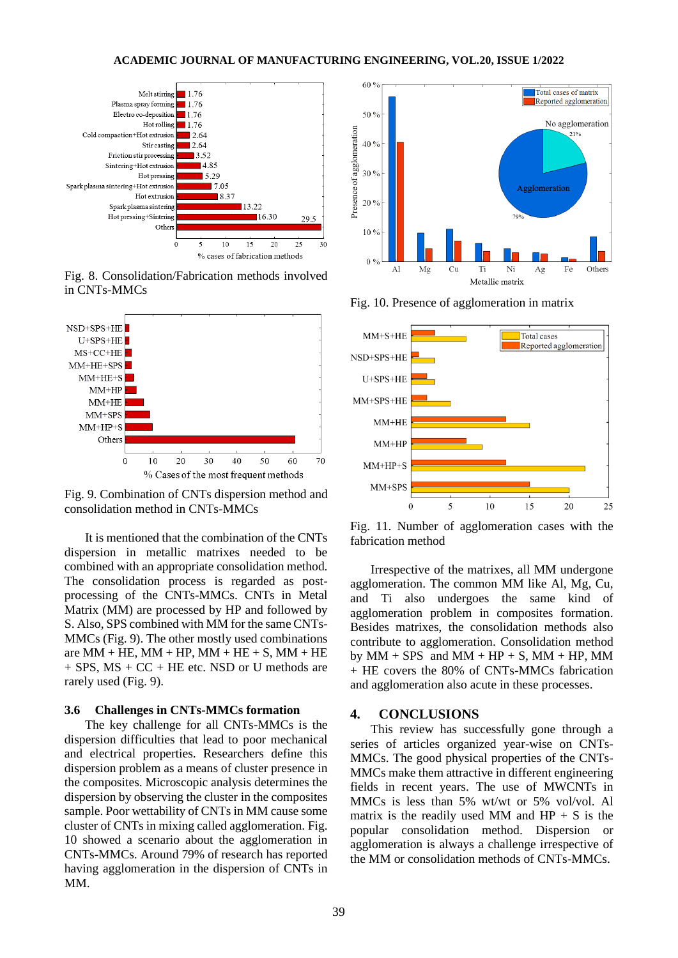

Fig. 8. Consolidation/Fabrication methods involved in CNTs-MMCs



Fig. 9. Combination of CNTs dispersion method and consolidation method in CNTs-MMCs

It is mentioned that the combination of the CNTs dispersion in metallic matrixes needed to be combined with an appropriate consolidation method. The consolidation process is regarded as postprocessing of the CNTs-MMCs. CNTs in Metal Matrix (MM) are processed by HP and followed by S. Also, SPS combined with MM for the same CNTs-MMCs (Fig. 9). The other mostly used combinations are  $MM + HE$ ,  $MM + HP$ ,  $MM + HE + S$ ,  $MM + HE$  $+$  SPS, MS  $+$  CC  $+$  HE etc. NSD or U methods are rarely used (Fig. 9).

## **3.6 Challenges in CNTs-MMCs formation**

The key challenge for all CNTs-MMCs is the dispersion difficulties that lead to poor mechanical and electrical properties. Researchers define this dispersion problem as a means of cluster presence in the composites. Microscopic analysis determines the dispersion by observing the cluster in the composites sample. Poor wettability of CNTs in MM cause some cluster of CNTs in mixing called agglomeration. Fig. 10 showed a scenario about the agglomeration in CNTs-MMCs. Around 79% of research has reported having agglomeration in the dispersion of CNTs in MM.



Fig. 10. Presence of agglomeration in matrix



Fig. 11. Number of agglomeration cases with the fabrication method

Irrespective of the matrixes, all MM undergone agglomeration. The common MM like Al, Mg, Cu, and Ti also undergoes the same kind of agglomeration problem in composites formation. Besides matrixes, the consolidation methods also contribute to agglomeration. Consolidation method by  $MM + SPS$  and  $MM + HP + S$ ,  $MM + HP$ ,  $MM$ + HE covers the 80% of CNTs-MMCs fabrication and agglomeration also acute in these processes.

# **4. CONCLUSIONS**

This review has successfully gone through a series of articles organized year-wise on CNTs-MMCs. The good physical properties of the CNTs-MMCs make them attractive in different engineering fields in recent years. The use of MWCNTs in MMCs is less than 5% wt/wt or 5% vol/vol. Al matrix is the readily used MM and  $HP + S$  is the popular consolidation method. Dispersion or agglomeration is always a challenge irrespective of the MM or consolidation methods of CNTs-MMCs.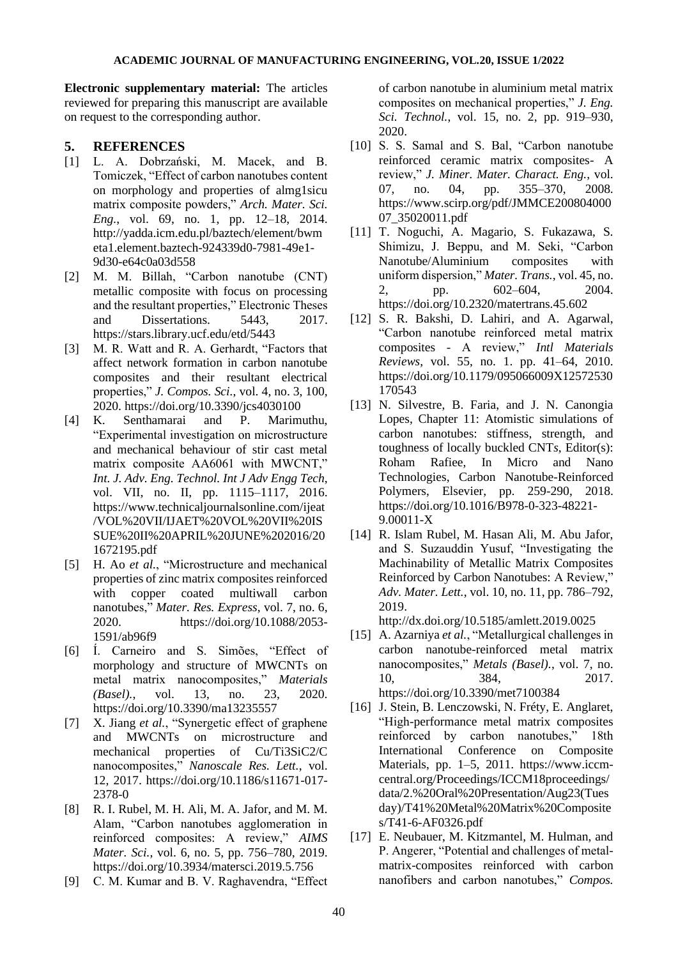**Electronic supplementary material:** The articles reviewed for preparing this manuscript are available on request to the corresponding author.

# **5. REFERENCES**

- [1] L. A. Dobrzański, M. Macek, and B. Tomiczek, "Effect of carbon nanotubes content on morphology and properties of almg1sicu matrix composite powders," *Arch. Mater. Sci. Eng.*, vol. 69, no. 1, pp. 12–18, 2014. http://yadda.icm.edu.pl/baztech/element/bwm eta1.element.baztech-924339d0-7981-49e1- 9d30-e64c0a03d558
- [2] M. M. Billah, "Carbon nanotube (CNT) metallic composite with focus on processing and the resultant properties," Electronic Theses and Dissertations. 5443, 2017. https://stars.library.ucf.edu/etd/5443
- [3] M. R. Watt and R. A. Gerhardt, "Factors that affect network formation in carbon nanotube composites and their resultant electrical properties," *J. Compos. Sci.*, vol. 4, no. 3, 100, 2020. https://doi.org/10.3390/jcs4030100
- [4] K. Senthamarai and P. Marimuthu, "Experimental investigation on microstructure and mechanical behaviour of stir cast metal matrix composite AA6061 with MWCNT," *Int. J. Adv. Eng. Technol. Int J Adv Engg Tech*, vol. VII, no. II, pp. 1115–1117, 2016. https://www.technicaljournalsonline.com/ijeat /VOL%20VII/IJAET%20VOL%20VII%20IS SUE%20II%20APRIL%20JUNE%202016/20 1672195.pdf
- [5] H. Ao *et al.*, "Microstructure and mechanical properties of zinc matrix composites reinforced with copper coated multiwall carbon nanotubes," *Mater. Res. Express*, vol. 7, no. 6, 2020. https://doi.org/10.1088/2053- 1591/ab96f9
- [6] Í. Carneiro and S. Simões, "Effect of morphology and structure of MWCNTs on metal matrix nanocomposites," *Materials (Basel).*, vol. 13, no. 23, 2020. https://doi.org/10.3390/ma13235557
- [7] X. Jiang *et al.*, "Synergetic effect of graphene and MWCNTs on microstructure and mechanical properties of Cu/Ti3SiC2/C nanocomposites," *Nanoscale Res. Lett.*, vol. 12, 2017. https://doi.org/10.1186/s11671-017- 2378-0
- [8] R. I. Rubel, M. H. Ali, M. A. Jafor, and M. M. Alam, "Carbon nanotubes agglomeration in reinforced composites: A review," *AIMS Mater. Sci.*, vol. 6, no. 5, pp. 756–780, 2019. https://doi.org/10.3934/matersci.2019.5.756
- [9] C. M. Kumar and B. V. Raghavendra, "Effect

of carbon nanotube in aluminium metal matrix composites on mechanical properties," *J. Eng. Sci. Technol.*, vol. 15, no. 2, pp. 919–930, 2020.

- [10] S. S. Samal and S. Bal, "Carbon nanotube reinforced ceramic matrix composites- A review," *J. Miner. Mater. Charact. Eng.*, vol. 07, no. 04, pp. 355–370, 2008. https://www.scirp.org/pdf/JMMCE200804000 07\_35020011.pdf
- [11] T. Noguchi, A. Magario, S. Fukazawa, S. Shimizu, J. Beppu, and M. Seki, "Carbon Nanotube/Aluminium composites with uniform dispersion," *Mater. Trans.*, vol. 45, no. 2, pp. 602–604, 2004. https://doi.org/10.2320/matertrans.45.602
- [12] S. R. Bakshi, D. Lahiri, and A. Agarwal, "Carbon nanotube reinforced metal matrix composites - A review," *Intl Materials Reviews*, vol. 55, no. 1. pp. 41–64, 2010. https://doi.org/10.1179/095066009X12572530 170543
- [13] N. Silvestre, B. Faria, and J. N. Canongia Lopes, Chapter 11: Atomistic simulations of carbon nanotubes: stiffness, strength, and toughness of locally buckled CNT*s*, Editor(s): Roham Rafiee, In Micro and Nano Technologies, Carbon Nanotube-Reinforced Polymers, Elsevier, pp. 259-290, 2018. https://doi.org/10.1016/B978-0-323-48221- 9.00011-X
- [14] R. Islam Rubel, M. Hasan Ali, M. Abu Jafor, and S. Suzauddin Yusuf, "Investigating the Machinability of Metallic Matrix Composites Reinforced by Carbon Nanotubes: A Review," *Adv. Mater. Lett.*, vol. 10, no. 11, pp. 786–792, 2019.

http://dx.doi.org/10.5185/amlett.2019.0025

- [15] A. Azarniya *et al.*, "Metallurgical challenges in carbon nanotube-reinforced metal matrix nanocomposites," *Metals (Basel).*, vol. 7, no. 10, 384, 2017. https://doi.org/10.3390/met7100384
- [16] J. Stein, B. Lenczowski, N. Fréty, E. Anglaret, "High-performance metal matrix composites reinforced by carbon nanotubes," 18th International Conference on Composite Materials, pp. 1–5, 2011. https://www.iccmcentral.org/Proceedings/ICCM18proceedings/ data/2.%20Oral%20Presentation/Aug23(Tues day)/T41%20Metal%20Matrix%20Composite s/T41-6-AF0326.pdf
- [17] E. Neubauer, M. Kitzmantel, M. Hulman, and P. Angerer, "Potential and challenges of metalmatrix-composites reinforced with carbon nanofibers and carbon nanotubes," *Compos.*